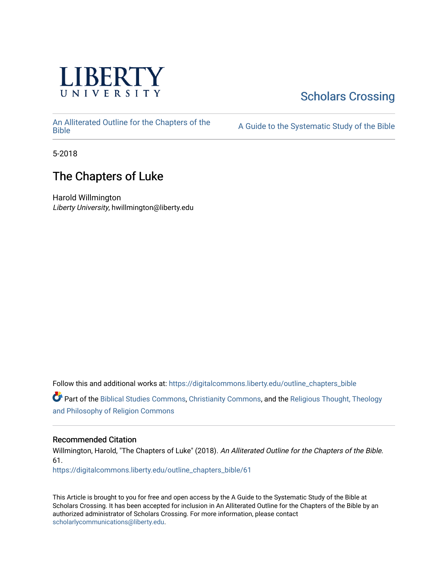

# [Scholars Crossing](https://digitalcommons.liberty.edu/)

[An Alliterated Outline for the Chapters of the](https://digitalcommons.liberty.edu/outline_chapters_bible) 

A Guide to the Systematic Study of the [Bible](https://digitalcommons.liberty.edu/outline_chapters_bible)

5-2018

# The Chapters of Luke

Harold Willmington Liberty University, hwillmington@liberty.edu

Follow this and additional works at: [https://digitalcommons.liberty.edu/outline\\_chapters\\_bible](https://digitalcommons.liberty.edu/outline_chapters_bible?utm_source=digitalcommons.liberty.edu%2Foutline_chapters_bible%2F61&utm_medium=PDF&utm_campaign=PDFCoverPages)

Part of the [Biblical Studies Commons,](http://network.bepress.com/hgg/discipline/539?utm_source=digitalcommons.liberty.edu%2Foutline_chapters_bible%2F61&utm_medium=PDF&utm_campaign=PDFCoverPages) [Christianity Commons,](http://network.bepress.com/hgg/discipline/1181?utm_source=digitalcommons.liberty.edu%2Foutline_chapters_bible%2F61&utm_medium=PDF&utm_campaign=PDFCoverPages) and the [Religious Thought, Theology](http://network.bepress.com/hgg/discipline/544?utm_source=digitalcommons.liberty.edu%2Foutline_chapters_bible%2F61&utm_medium=PDF&utm_campaign=PDFCoverPages)  [and Philosophy of Religion Commons](http://network.bepress.com/hgg/discipline/544?utm_source=digitalcommons.liberty.edu%2Foutline_chapters_bible%2F61&utm_medium=PDF&utm_campaign=PDFCoverPages)

# Recommended Citation

Willmington, Harold, "The Chapters of Luke" (2018). An Alliterated Outline for the Chapters of the Bible. 61.

[https://digitalcommons.liberty.edu/outline\\_chapters\\_bible/61](https://digitalcommons.liberty.edu/outline_chapters_bible/61?utm_source=digitalcommons.liberty.edu%2Foutline_chapters_bible%2F61&utm_medium=PDF&utm_campaign=PDFCoverPages) 

This Article is brought to you for free and open access by the A Guide to the Systematic Study of the Bible at Scholars Crossing. It has been accepted for inclusion in An Alliterated Outline for the Chapters of the Bible by an authorized administrator of Scholars Crossing. For more information, please contact [scholarlycommunications@liberty.edu.](mailto:scholarlycommunications@liberty.edu)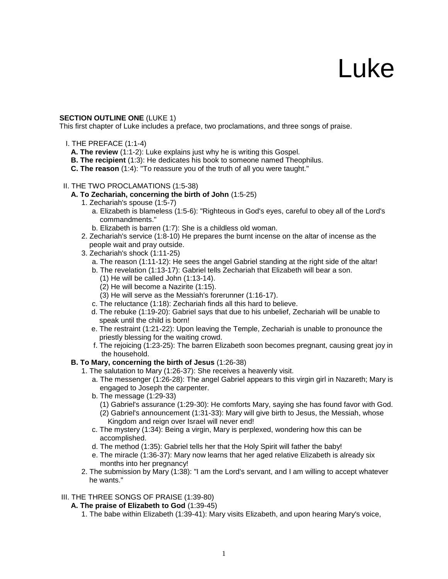# Luke

# **SECTION OUTLINE ONE (LUKE 1)**

This first chapter of Luke includes a preface, two proclamations, and three songs of praise.

- I. THE PREFACE (1:1-4)
	- **A. The review** (1:1-2): Luke explains just why he is writing this Gospel.
	- **B. The recipient** (1:3): He dedicates his book to someone named Theophilus.
	- **C. The reason** (1:4): "To reassure you of the truth of all you were taught."

#### II. THE TWO PROCLAMATIONS (1:5-38)

- **A. To Zechariah, concerning the birth of John** (1:5-25)
	- 1. Zechariah's spouse (1:5-7)
		- a. Elizabeth is blameless (1:5-6): "Righteous in God's eyes, careful to obey all of the Lord's commandments."
		- b. Elizabeth is barren (1:7): She is a childless old woman.
	- 2. Zechariah's service (1:8-10) He prepares the burnt incense on the altar of incense as the people wait and pray outside.
	- 3. Zechariah's shock (1:11-25)
		- a. The reason (1:11-12): He sees the angel Gabriel standing at the right side of the altar!
		- b. The revelation (1:13-17): Gabriel tells Zechariah that Elizabeth will bear a son.
			- (1) He will be called John (1:13-14).
			- (2) He will become a Nazirite (1:15).
			- (3) He will serve as the Messiah's forerunner (1:16-17).
		- c. The reluctance (1:18): Zechariah finds all this hard to believe.
		- d. The rebuke (1:19-20): Gabriel says that due to his unbelief, Zechariah will be unable to speak until the child is born!
		- e. The restraint (1:21-22): Upon leaving the Temple, Zechariah is unable to pronounce the priestly blessing for the waiting crowd.
		- f. The rejoicing (1:23-25): The barren Elizabeth soon becomes pregnant, causing great joy in the household.

# **B. To Mary, concerning the birth of Jesus** (1:26-38)

- 1. The salutation to Mary (1:26-37): She receives a heavenly visit.
	- a. The messenger (1:26-28): The angel Gabriel appears to this virgin girl in Nazareth; Mary is engaged to Joseph the carpenter.
	- b. The message (1:29-33)
		- (1) Gabriel's assurance (1:29-30): He comforts Mary, saying she has found favor with God. (2) Gabriel's announcement (1:31-33): Mary will give birth to Jesus, the Messiah, whose Kingdom and reign over Israel will never end!
	- c. The mystery (1:34): Being a virgin, Mary is perplexed, wondering how this can be accomplished.
	- d. The method (1:35): Gabriel tells her that the Holy Spirit will father the baby!
	- e. The miracle (1:36-37): Mary now learns that her aged relative Elizabeth is already six months into her pregnancy!
- 2. The submission by Mary (1:38): "I am the Lord's servant, and I am willing to accept whatever he wants."

#### III. THE THREE SONGS OF PRAISE (1:39-80)

#### **A. The praise of Elizabeth to God** (1:39-45)

1. The babe within Elizabeth (1:39-41): Mary visits Elizabeth, and upon hearing Mary's voice,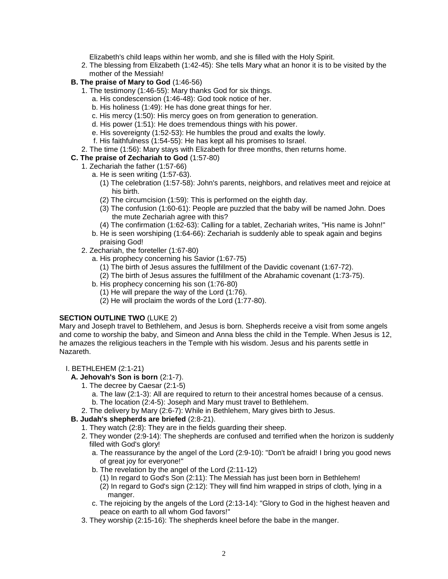Elizabeth's child leaps within her womb, and she is filled with the Holy Spirit.

2. The blessing from Elizabeth (1:42-45): She tells Mary what an honor it is to be visited by the mother of the Messiah!

# **B. The praise of Mary to God** (1:46-56)

- 1. The testimony (1:46-55): Mary thanks God for six things.
	- a. His condescension (1:46-48): God took notice of her.
	- b. His holiness (1:49): He has done great things for her.
	- c. His mercy (1:50): His mercy goes on from generation to generation.
	- d. His power (1:51): He does tremendous things with his power.
	- e. His sovereignty (1:52-53): He humbles the proud and exalts the lowly.
	- f. His faithfulness (1:54-55): He has kept all his promises to Israel.
- 2. The time (1:56): Mary stays with Elizabeth for three months, then returns home.

# **C. The praise of Zechariah to God** (1:57-80)

- 1. Zechariah the father (1:57-66)
	- a. He is seen writing (1:57-63).
		- (1) The celebration (1:57-58): John's parents, neighbors, and relatives meet and rejoice at his birth.
		- (2) The circumcision (1:59): This is performed on the eighth day.
		- (3) The confusion (1:60-61): People are puzzled that the baby will be named John. Does the mute Zechariah agree with this?
		- (4) The confirmation (1:62-63): Calling for a tablet, Zechariah writes, "His name is John!"
	- b. He is seen worshiping (1:64-66): Zechariah is suddenly able to speak again and begins praising God!
- 2. Zechariah, the foreteller (1:67-80)
	- a. His prophecy concerning his Savior (1:67-75)
		- (1) The birth of Jesus assures the fulfillment of the Davidic covenant (1:67-72).
		- (2) The birth of Jesus assures the fulfillment of the Abrahamic covenant (1:73-75).
	- b. His prophecy concerning his son (1:76-80)
		- (1) He will prepare the way of the Lord (1:76).
		- (2) He will proclaim the words of the Lord (1:77-80).

# **SECTION OUTLINE TWO** (LUKE 2)

Mary and Joseph travel to Bethlehem, and Jesus is born. Shepherds receive a visit from some angels and come to worship the baby, and Simeon and Anna bless the child in the Temple. When Jesus is 12, he amazes the religious teachers in the Temple with his wisdom. Jesus and his parents settle in Nazareth.

#### I. BETHLEHEM (2:1-21)

# **A. Jehovah's Son is born** (2:1-7).

- 1. The decree by Caesar (2:1-5)
	- a. The law (2:1-3): All are required to return to their ancestral homes because of a census.
	- b. The location (2:4-5): Joseph and Mary must travel to Bethlehem.
- 2. The delivery by Mary (2:6-7): While in Bethlehem, Mary gives birth to Jesus.

# **B. Judah's shepherds are briefed** (2:8-21).

- 1. They watch (2:8): They are in the fields guarding their sheep.
- 2. They wonder (2:9-14): The shepherds are confused and terrified when the horizon is suddenly filled with God's glory!
	- a. The reassurance by the angel of the Lord (2:9-10): "Don't be afraid! I bring you good news of great joy for everyone!"
	- b. The revelation by the angel of the Lord (2:11-12)
		- (1) In regard to God's Son (2:11): The Messiah has just been born in Bethlehem! (2) In regard to God's sign (2:12): They will find him wrapped in strips of cloth, lying in a manger.
	- c. The rejoicing by the angels of the Lord (2:13-14): "Glory to God in the highest heaven and peace on earth to all whom God favors!"
- 3. They worship (2:15-16): The shepherds kneel before the babe in the manger.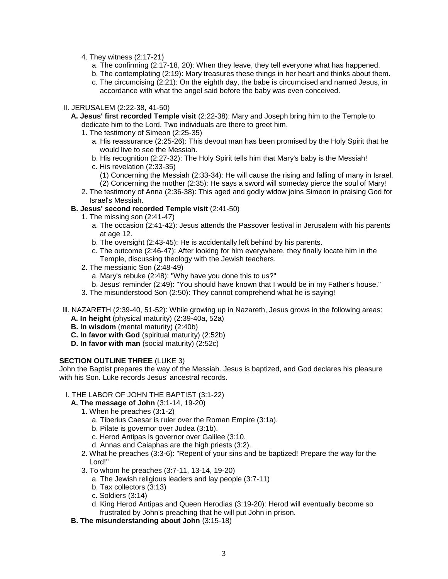- 4. They witness (2:17-21)
	- a. The confirming (2:17-18, 20): When they leave, they tell everyone what has happened.
	- b. The contemplating (2:19): Mary treasures these things in her heart and thinks about them.
	- c. The circumcising (2:21): On the eighth day, the babe is circumcised and named Jesus, in accordance with what the angel said before the baby was even conceived.

#### II. JERUSALEM (2:22-38, 41-50)

- **A. Jesus' first recorded Temple visit** (2:22-38): Mary and Joseph bring him to the Temple to dedicate him to the Lord. Two individuals are there to greet him.
	- 1. The testimony of Simeon (2:25-35)
		- a. His reassurance (2:25-26): This devout man has been promised by the Holy Spirit that he would live to see the Messiah.
		- b. His recognition (2:27-32): The Holy Spirit tells him that Mary's baby is the Messiah!
		- c. His revelation (2:33-35) (1) Concerning the Messiah (2:33-34): He will cause the rising and falling of many in Israel.
		- (2) Concerning the mother (2:35): He says a sword will someday pierce the soul of Mary!
	- 2. The testimony of Anna (2:36-38): This aged and godly widow joins Simeon in praising God for Israel's Messiah.

# **B. Jesus' second recorded Temple visit** (2:41-50)

- 1. The missing son (2:41-47)
	- a. The occasion (2:41-42): Jesus attends the Passover festival in Jerusalem with his parents at age 12.
	- b. The oversight (2:43-45): He is accidentally left behind by his parents.
	- c. The outcome (2:46-47): After looking for him everywhere, they finally locate him in the Temple, discussing theology with the Jewish teachers.
- 2. The messianic Son (2:48-49)
	- a. Mary's rebuke (2:48): "Why have you done this to us?"
	- b. Jesus' reminder (2:49): "You should have known that I would be in my Father's house."
- 3. The misunderstood Son (2:50): They cannot comprehend what he is saying!
- Ill. NAZARETH (2:39-40, 51-52): While growing up in Nazareth, Jesus grows in the following areas:
	- **A. In height** (physical maturity) (2:39-40a, 52a)
	- **B. In wisdom** (mental maturity) (2:40b)
	- **C. In favor with God** (spiritual maturity) (2:52b)
	- **D. In favor with man** (social maturity) (2:52c)

#### **SECTION OUTLINE THREE** (LUKE 3)

John the Baptist prepares the way of the Messiah. Jesus is baptized, and God declares his pleasure with his Son. Luke records Jesus' ancestral records.

#### I. THE LABOR OF JOHN THE BAPTIST (3:1-22)

- **A. The message of John** (3:1-14, 19-20)
	- 1. When he preaches (3:1-2)
		- a. Tiberius Caesar is ruler over the Roman Empire (3:1a).
		- b. Pilate is governor over Judea (3:1b).
		- c. Herod Antipas is governor over Galilee (3:10.
		- d. Annas and Caiaphas are the high priests (3:2).
	- 2. What he preaches (3:3-6): "Repent of your sins and be baptized! Prepare the way for the Lord!"
	- 3. To whom he preaches (3:7-11, 13-14, 19-20)
		- a. The Jewish religious leaders and lay people (3:7-11)
		- b. Tax collectors (3:13)
		- c. Soldiers (3:14)
		- d. King Herod Antipas and Queen Herodias (3:19-20): Herod will eventually become so frustrated by John's preaching that he will put John in prison.
- **B. The misunderstanding about John** (3:15-18)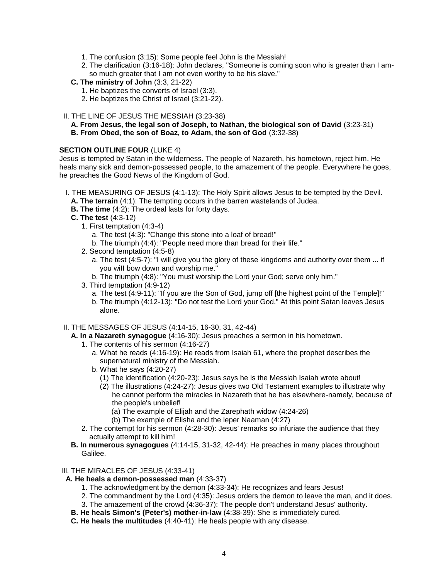- 1. The confusion (3:15): Some people feel John is the Messiah!
- 2. The clarification (3:16-18): John declares, "Someone is coming soon who is greater than I amso much greater that I am not even worthy to be his slave."
- **C. The ministry of John** (3:3, 21-22)
	- 1. He baptizes the converts of Israel (3:3).
	- 2. He baptizes the Christ of Israel (3:21-22).
- II. THE LINE OF JESUS THE MESSIAH (3:23-38)
	- **A. From Jesus, the legal son of Joseph, to Nathan, the biological son of David** (3:23-31) **B. From Obed, the son of Boaz, to Adam, the son of God** (3:32-38)

#### **SECTION OUTLINE FOUR** (LUKE 4)

Jesus is tempted by Satan in the wilderness. The people of Nazareth, his hometown, reject him. He heals many sick and demon-possessed people, to the amazement of the people. Everywhere he goes, he preaches the Good News of the Kingdom of God.

- I. THE MEASURING OF JESUS (4:1-13): The Holy Spirit allows Jesus to be tempted by the Devil.
- **A. The terrain** (4:1): The tempting occurs in the barren wastelands of Judea.
- **B. The time** (4:2): The ordeal lasts for forty days.
- **C. The test** (4:3-12)
	- 1. First temptation (4:3-4)
		- a. The test (4:3): "Change this stone into a loaf of bread!"
		- b. The triumph (4:4): "People need more than bread for their life."
	- 2. Second temptation (4:5-8)
		- a. The test (4:5-7): "I will give you the glory of these kingdoms and authority over them ... if you wiII bow down and worship me."
		- b. The triumph (4:8): "You must worship the Lord your God; serve only him."
	- 3. Third temptation (4:9-12)
		- a. The test (4:9-11): "If you are the Son of God, jump off [the highest point of the Temple]!" b. The triumph (4:12-13): "Do not test the Lord your God." At this point Satan leaves Jesus alone.
- II. THE MESSAGES OF JESUS (4:14-15, 16-30, 31, 42-44)
	- **A. In a Nazareth synagogue** (4:16-30): Jesus preaches a sermon in his hometown.
		- 1. The contents of his sermon (4:16-27)
			- a. What he reads (4:16-19): He reads from Isaiah 61, where the prophet describes the supernatural ministry of the Messiah.
			- b. What he says (4:20-27)
				- (1) The identification (4:20-23): Jesus says he is the Messiah Isaiah wrote about!
				- (2) The illustrations (4:24-27): Jesus gives two Old Testament examples to illustrate why he cannot perform the miracles in Nazareth that he has elsewhere-namely, because of the people's unbelief!
					- (a) The example of Elijah and the Zarephath widow (4:24-26)
					- (b) The example of Elisha and the leper Naaman (4:27)
		- 2. The contempt for his sermon (4:28-30): Jesus' remarks so infuriate the audience that they actually attempt to kill him!
	- **B. In numerous synagogues** (4:14-15, 31-32, 42-44): He preaches in many places throughout Galilee.

Ill. THE MIRACLES OF JESUS (4:33-41)

- **A. He heals a demon-possessed man** (4:33-37)
	- 1. The acknowledgment by the demon (4:33-34): He recognizes and fears Jesus!
	- 2. The commandment by the Lord (4:35): Jesus orders the demon to leave the man, and it does.
	- 3. The amazement of the crowd (4:36-37): The people don't understand Jesus' authority.
- **B. He heals Simon's (Peter's) mother-in-law** (4:38-39): She is immediately cured.
- **C. He heals the multitudes** (4:40-41): He heals people with any disease.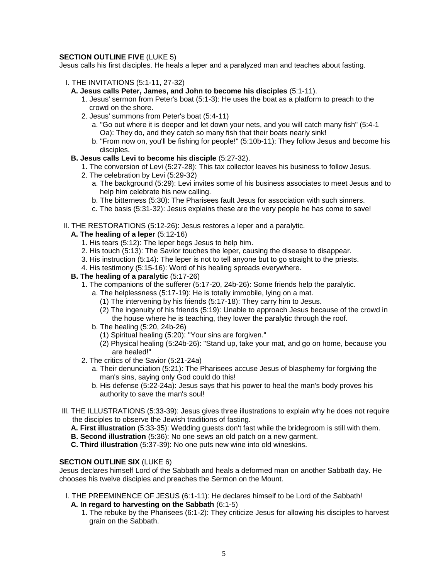# **SECTION OUTLINE FIVE (LUKE 5)**

Jesus calls his first disciples. He heals a leper and a paralyzed man and teaches about fasting.

- I. THE INVITATIONS (5:1-11, 27-32)
	- **A. Jesus calls Peter, James, and John to become his disciples** (5:1-11).
		- 1. Jesus' sermon from Peter's boat (5:1-3): He uses the boat as a platform to preach to the crowd on the shore.
		- 2. Jesus' summons from Peter's boat (5:4-11)
			- a. "Go out where it is deeper and let down your nets, and you will catch many fish" (5:4-1 Oa): They do, and they catch so many fish that their boats nearly sink!
			- b. "From now on, you'll be fishing for people!" (5:10b-11): They follow Jesus and become his disciples.
	- **B. Jesus calls Levi to become his disciple** (5:27-32).
		- 1. The conversion of Levi (5:27-28): This tax collector leaves his business to follow Jesus.
		- 2. The celebration by Levi (5:29-32)
			- a. The background (5:29): Levi invites some of his business associates to meet Jesus and to help him celebrate his new calling.
			- b. The bitterness (5:30): The Pharisees fault Jesus for association with such sinners.
			- c. The basis (5:31-32): Jesus explains these are the very people he has come to save!
- II. THE RESTORATIONS (5:12-26): Jesus restores a leper and a paralytic.

#### **A. The healing of a leper** (5:12-16)

- 1. His tears (5:12): The leper begs Jesus to help him.
- 2. His touch (5:13): The Savior touches the leper, causing the disease to disappear.
- 3. His instruction (5:14): The leper is not to tell anyone but to go straight to the priests.
- 4. His testimony (5:15-16): Word of his healing spreads everywhere.

# **B. The healing of a paralytic** (5:17-26)

- 1. The companions of the sufferer (5:17-20, 24b-26): Some friends help the paralytic.
	- a. The helplessness (5:17-19): He is totally immobile, lying on a mat.
		- (1) The intervening by his friends (5:17-18): They carry him to Jesus.
		- (2) The ingenuity of his friends (5:19): Unable to approach Jesus because of the crowd in the house where he is teaching, they lower the paralytic through the roof.
	- b. The healing (5:20, 24b-26)
		- (1) Spiritual healing (5:20): "Your sins are forgiven."
		- (2) Physical healing (5:24b-26): "Stand up, take your mat, and go on home, because you are healed!"
- 2. The critics of the Savior (5:21-24a)
	- a. Their denunciation (5:21): The Pharisees accuse Jesus of blasphemy for forgiving the man's sins, saying only God could do this!
	- b. His defense (5:22-24a): Jesus says that his power to heal the man's body proves his authority to save the man's soul!
- Ill. THE ILLUSTRATIONS (5:33-39): Jesus gives three illustrations to explain why he does not require the disciples to observe the Jewish traditions of fasting.
	- **A. First illustration** (5:33-35): Wedding guests don't fast while the bridegroom is still with them.
	- **B. Second illustration** (5:36): No one sews an old patch on a new garment.
	- **C. Third illustration** (5:37-39): No one puts new wine into old wineskins.

#### **SECTION OUTLINE SIX** (LUKE 6)

Jesus declares himself Lord of the Sabbath and heals a deformed man on another Sabbath day. He chooses his twelve disciples and preaches the Sermon on the Mount.

- I. THE PREEMINENCE OF JESUS (6:1-11): He declares himself to be Lord of the Sabbath!
	- **A. In regard to harvesting on the Sabbath** (6:1-5)
		- 1. The rebuke by the Pharisees (6:1-2): They criticize Jesus for allowing his disciples to harvest grain on the Sabbath.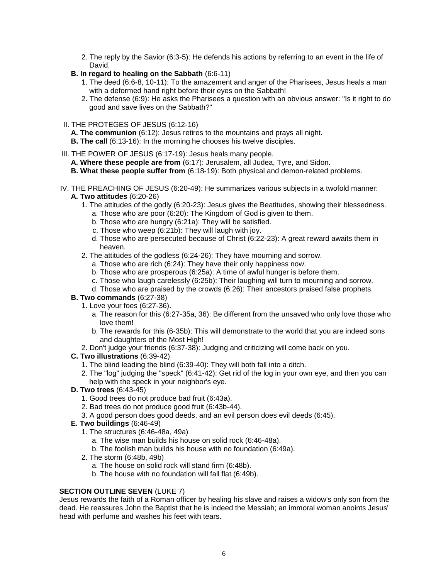- 2. The reply by the Savior (6:3-5): He defends his actions by referring to an event in the life of David.
- **B. In regard to healing on the Sabbath** (6:6-11)
	- 1. The deed (6:6-8, 10-11): To the amazement and anger of the Pharisees, Jesus heals a man with a deformed hand right before their eyes on the Sabbath!
	- 2. The defense (6:9): He asks the Pharisees a question with an obvious answer: "Is it right to do good and save lives on the Sabbath?"
- II. THE PROTEGES OF JESUS (6:12-16)
	- **A. The communion** (6:12): Jesus retires to the mountains and prays all night.
	- **B. The call** (6:13-16): In the morning he chooses his twelve disciples.
- III. THE POWER OF JESUS (6:17-19): Jesus heals many people.
	- **A. Where these people are from** (6:17): Jerusalem, all Judea, Tyre, and Sidon.
	- **B. What these people suffer from** (6:18-19): Both physical and demon-related problems.
- IV. THE PREACHING OF JESUS (6:20-49): He summarizes various subjects in a twofold manner: **A. Two attitudes** (6:20-26)
	- 1. The attitudes of the godly (6:20-23): Jesus gives the Beatitudes, showing their blessedness. a. Those who are poor (6:20): The Kingdom of God is given to them.
		-
		- b. Those who are hungry (6:21a): They will be satisfied. c. Those who weep (6:21b): They will laugh with joy.
		- d. Those who are persecuted because of Christ (6:22-23): A great reward awaits them in heaven.
	- 2. The attitudes of the godless (6:24-26): They have mourning and sorrow.
		- a. Those who are rich (6:24): They have their only happiness now.
		- b. Those who are prosperous (6:25a): A time of awful hunger is before them.
		- c. Those who laugh carelessly (6:25b): Their laughing will turn to mourning and sorrow.
		- d. Those who are praised by the crowds (6:26): Their ancestors praised false prophets.

# **B. Two commands** (6:27-38)

- 1. Love your foes (6:27-36).
	- a. The reason for this (6:27-35a, 36): Be different from the unsaved who only love those who love them!
	- b. The rewards for this (6-35b): This will demonstrate to the world that you are indeed sons and daughters of the Most High!
- 2. Don't judge your friends (6:37-38): Judging and criticizing will come back on you.

# **C. Two illustrations** (6:39-42)

- 1. The blind leading the blind (6:39-40): They will both fall into a ditch.
- 2. The "log" judging the "speck" (6:41-42): Get rid of the log in your own eye, and then you can help with the speck in your neighbor's eye.
- **D. Two trees** (6:43-45)
	- 1. Good trees do not produce bad fruit (6:43a).
	- 2. Bad trees do not produce good fruit (6:43b-44).
	- 3. A good person does good deeds, and an evil person does evil deeds (6:45).
- **E. Two buildings** (6:46-49)
	- 1. The structures (6:46-48a, 49a)
		- a. The wise man builds his house on solid rock (6:46-48a).
		- b. The foolish man builds his house with no foundation (6:49a).
	- 2. The storm (6:48b, 49b)
		- a. The house on solid rock will stand firm (6:48b).
		- b. The house with no foundation will fall flat (6:49b).

# **SECTION OUTLINE SEVEN (LUKE 7)**

Jesus rewards the faith of a Roman officer by healing his slave and raises a widow's only son from the dead. He reassures John the Baptist that he is indeed the Messiah; an immoral woman anoints Jesus' head with perfume and washes his feet with tears.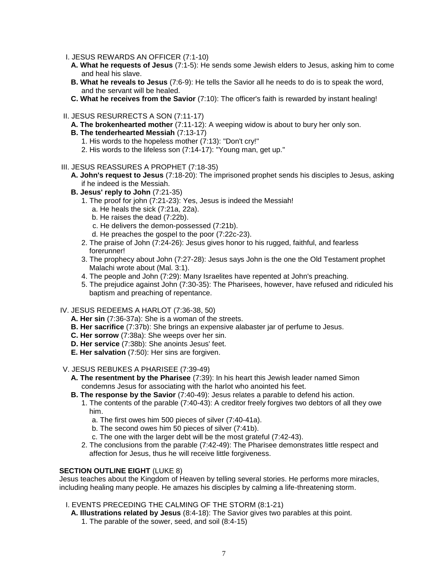- I. JESUS REWARDS AN OFFICER (7:1-10)
- **A. What he requests of Jesus** (7:1-5): He sends some Jewish elders to Jesus, asking him to come and heal his slave.
- **B. What he reveals to Jesus** (7:6-9): He tells the Savior all he needs to do is to speak the word, and the servant will be healed.
- **C. What he receives from the Savior** (7:10): The officer's faith is rewarded by instant healing!
- II. JESUS RESURRECTS A SON (7:11-17)
	- **A. The brokenhearted mother** (7:11-12): A weeping widow is about to bury her only son.
	- **B. The tenderhearted Messiah** (7:13-17)
		- 1. His words to the hopeless mother (7:13): "Don't cry!"
		- 2. His words to the lifeless son (7:14-17): "Young man, get up."
- III. JESUS REASSURES A PROPHET (7:18-35)
	- **A. John's request to Jesus** (7:18-20): The imprisoned prophet sends his disciples to Jesus, asking if he indeed is the Messiah.
	- **B. Jesus' reply to John** (7:21-35)
		- 1. The proof for john (7:21-23): Yes, Jesus is indeed the Messiah!
			- a. He heals the sick (7:21a, 22a).
			- b. He raises the dead (7:22b).
			- c. He delivers the demon-possessed (7:21b).
			- d. He preaches the gospel to the poor (7:22c-23).
		- 2. The praise of John (7:24-26): Jesus gives honor to his rugged, faithful, and fearless forerunner!
		- 3. The prophecy about John (7:27-28): Jesus says John is the one the Old Testament prophet Malachi wrote about (Mal. 3:1).
		- 4. The people and John (7:29): Many Israelites have repented at John's preaching.
		- 5. The prejudice against John (7:30-35): The Pharisees, however, have refused and ridiculed his baptism and preaching of repentance.

#### IV. JESUS REDEEMS A HARLOT (7:36-38, 50)

- **A. Her sin** (7:36-37a): She is a woman of the streets.
- **B. Her sacrifice** (7:37b): She brings an expensive alabaster jar of perfume to Jesus.
- **C. Her sorrow** (7:38a): She weeps over her sin.
- **D. Her service** (7:38b): She anoints Jesus' feet.
- **E. Her salvation** (7:50): Her sins are forgiven.

#### V. JESUS REBUKES A PHARISEE (7:39-49)

- **A. The resentment by the Pharisee** (7:39): In his heart this Jewish leader named Simon condemns Jesus for associating with the harlot who anointed his feet.
- **B. The response by the Savior** (7:40-49): Jesus relates a parable to defend his action.
	- 1. The contents of the parable (7:40-43): A creditor freely forgives two debtors of all they owe him.
		- a. The first owes him 500 pieces of silver (7:40-41a).
		- b. The second owes him 50 pieces of silver (7:41b).
		- c. The one with the larger debt will be the most grateful (7:42-43).
	- 2. The conclusions from the parable (7:42-49): The Pharisee demonstrates little respect and affection for Jesus, thus he will receive little forgiveness.

# **SECTION OUTLINE EIGHT** (LUKE 8)

Jesus teaches about the Kingdom of Heaven by telling several stories. He performs more miracles, including healing many people. He amazes his disciples by calming a life-threatening storm.

- I. EVENTS PRECEDING THE CALMING OF THE STORM (8:1-21)
	- **A. Illustrations related by Jesus** (8:4-18): The Savior gives two parables at this point.
		- 1. The parable of the sower, seed, and soil (8:4-15)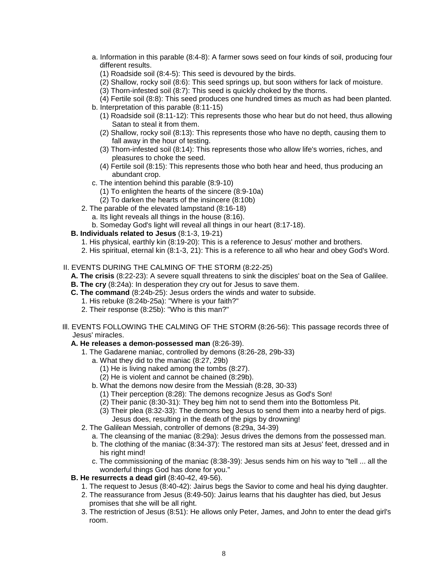- a. Information in this parable (8:4-8): A farmer sows seed on four kinds of soil, producing four different results.
	- (1) Roadside soil (8:4-5): This seed is devoured by the birds.
	- (2) Shallow, rocky soil (8:6): This seed springs up, but soon withers for lack of moisture.
	- (3) Thorn-infested soil (8:7): This seed is quickly choked by the thorns.
	- (4) Fertile soil (8:8): This seed produces one hundred times as much as had been planted.
- b. Interpretation of this parable (8:11-15)
	- (1) Roadside soil (8:11-12): This represents those who hear but do not heed, thus allowing Satan to steal it from them.
	- (2) Shallow, rocky soil (8:13): This represents those who have no depth, causing them to fall away in the hour of testing.
	- (3) Thorn-infested soil (8:14): This represents those who allow life's worries, riches, and pleasures to choke the seed.
	- (4) Fertile soil (8:15): This represents those who both hear and heed, thus producing an abundant crop.
- c. The intention behind this parable (8:9-10)
	- (1) To enlighten the hearts of the sincere (8:9-10a)
	- (2) To darken the hearts of the insincere (8:10b)
- 2. The parable of the elevated lampstand (8:16-18)
	- a. Its light reveals all things in the house (8:16).
	- b. Someday God's light will reveal all things in our heart (8:17-18).
- **B. Individuals related to Jesus** (8:1-3, 19-21)
	- 1. His physical, earthly kin (8:19-20): This is a reference to Jesus' mother and brothers.
	- 2. His spiritual, eternal kin (8:1-3, 21): This is a reference to all who hear and obey God's Word.
- II. EVENTS DURING THE CALMING OF THE STORM (8:22-25)
	- **A. The crisis** (8:22-23): A severe squall threatens to sink the disciples' boat on the Sea of Galilee.
	- **B. The cry** (8:24a): In desperation they cry out for Jesus to save them.
	- **C. The command** (8:24b-25): Jesus orders the winds and water to subside.
		- 1. His rebuke (8:24b-25a): "Where is your faith?"
		- 2. Their response (8:25b): "Who is this man?"
- Ill. EVENTS FOLLOWING THE CALMING OF THE STORM (8:26-56): This passage records three of Jesus' miracles.

#### **A. He releases a demon-possessed man** (8:26-39).

- 1. The Gadarene maniac, controlled by demons (8:26-28, 29b-33)
	- a. What they did to the maniac (8:27, 29b)
		- (1) He is living naked among the tombs (8:27).
		- (2) He is violent and cannot be chained (8:29b).
	- b. What the demons now desire from the Messiah (8:28, 30-33)
		- (1) Their perception (8:28): The demons recognize Jesus as God's Son!
		- (2) Their panic (8:30-31): They beg him not to send them into the Bottomless Pit.
		- (3) Their plea (8:32-33): The demons beg Jesus to send them into a nearby herd of pigs. Jesus does, resulting in the death of the pigs by drowning!
- 2. The Galilean Messiah, controller of demons (8:29a, 34-39)
	- a. The cleansing of the maniac (8:29a): Jesus drives the demons from the possessed man.
	- b. The clothing of the maniac (8:34-37): The restored man sits at Jesus' feet, dressed and in his right mind!
	- c. The commissioning of the maniac (8:38-39): Jesus sends him on his way to "tell ... all the wonderful things God has done for you."

#### **B. He resurrects a dead girl** (8:40-42, 49-56).

- 1. The request to Jesus (8:40-42): Jairus begs the Savior to come and heal his dying daughter.
- 2. The reassurance from Jesus (8:49-50): Jairus learns that his daughter has died, but Jesus promises that she will be all right.
- 3. The restriction of Jesus (8:51): He allows only Peter, James, and John to enter the dead girl's room.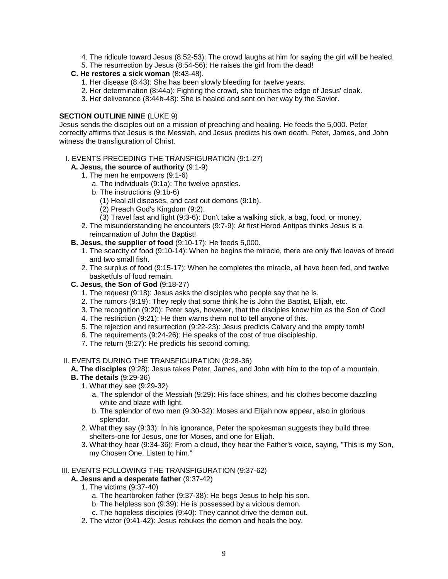- 4. The ridicule toward Jesus (8:52-53): The crowd laughs at him for saying the girl will be healed.
- 5. The resurrection by Jesus (8:54-56): He raises the girl from the dead!

# **C. He restores a sick woman** (8:43-48).

- 1. Her disease (8:43): She has been slowly bleeding for twelve years.
- 2. Her determination (8:44a): Fighting the crowd, she touches the edge of Jesus' cloak.
- 3. Her deliverance (8:44b-48): She is healed and sent on her way by the Savior.

# **SECTION OUTLINE NINE (LUKE 9)**

Jesus sends the disciples out on a mission of preaching and healing. He feeds the 5,000. Peter correctly affirms that Jesus is the Messiah, and Jesus predicts his own death. Peter, James, and John witness the transfiguration of Christ.

#### I. EVENTS PRECEDING THE TRANSFIGURATION (9:1-27)

- **A. Jesus, the source of authority** (9:1-9)
	- 1. The men he empowers (9:1-6)
		- a. The individuals (9:1a): The twelve apostles.
		- b. The instructions (9:1b-6)
			- (1) Heal all diseases, and cast out demons (9:1b).
			- (2) Preach God's Kingdom (9:2).
		- (3) Travel fast and light (9:3-6): Don't take a walking stick, a bag, food, or money.
	- 2. The misunderstanding he encounters (9:7-9): At first Herod Antipas thinks Jesus is a reincarnation of John the Baptist!
- **B. Jesus, the supplier of food** (9:10-17): He feeds 5,000.
	- 1. The scarcity of food (9:10-14): When he begins the miracle, there are only five loaves of bread and two small fish.
	- 2. The surplus of food (9:15-17): When he completes the miracle, all have been fed, and twelve basketfuls of food remain.
- **C. Jesus, the Son of God** (9:18-27)
	- 1. The request (9:18): Jesus asks the disciples who people say that he is.
	- 2. The rumors (9:19): They reply that some think he is John the Baptist, Elijah, etc.
	- 3. The recognition (9:20): Peter says, however, that the disciples know him as the Son of God!
	- 4. The restriction (9:21): He then warns them not to tell anyone of this.
	- 5. The rejection and resurrection (9:22-23): Jesus predicts Calvary and the empty tomb!
	- 6. The requirements (9:24-26): He speaks of the cost of true discipleship.
	- 7. The return (9:27): He predicts his second coming.

#### II. EVENTS DURING THE TRANSFIGURATION (9:28-36)

# **A. The disciples** (9:28): Jesus takes Peter, James, and John with him to the top of a mountain.

- **B. The details** (9:29-36)
	- 1. What they see (9:29-32)
		- a. The splendor of the Messiah (9:29): His face shines, and his clothes become dazzling white and blaze with light.
		- b. The splendor of two men (9:30-32): Moses and Elijah now appear, also in glorious splendor.
	- 2. What they say (9:33): In his ignorance, Peter the spokesman suggests they build three shelters-one for Jesus, one for Moses, and one for Elijah.
	- 3. What they hear (9:34-36): From a cloud, they hear the Father's voice, saying, "This is my Son, my Chosen One. Listen to him."

#### III. EVENTS FOLLOWING THE TRANSFIGURATION (9:37-62)

#### **A. Jesus and a desperate father** (9:37-42)

- 1. The victims (9:37-40)
	- a. The heartbroken father (9:37-38): He begs Jesus to help his son.
	- b. The helpless son (9:39): He is possessed by a vicious demon.
	- c. The hopeless disciples (9:40): They cannot drive the demon out.
- 2. The victor (9:41-42): Jesus rebukes the demon and heals the boy.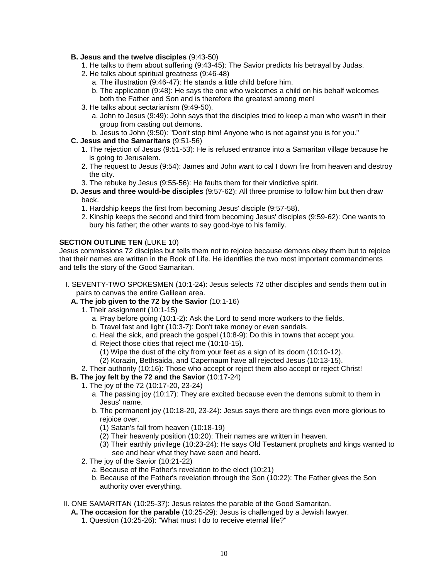#### **B. Jesus and the twelve disciples** (9:43-50)

- 1. He talks to them about suffering (9:43-45): The Savior predicts his betrayal by Judas.
- 2. He talks about spiritual greatness (9:46-48)
	- a. The illustration (9:46-47): He stands a little child before him.
	- b. The application (9:48): He says the one who welcomes a child on his behalf welcomes both the Father and Son and is therefore the greatest among men!
- 3. He talks about sectarianism (9:49-50).
	- a. John to Jesus (9:49): John says that the disciples tried to keep a man who wasn't in their group from casting out demons.
	- b. Jesus to John (9:50): "Don't stop him! Anyone who is not against you is for you."
- **C. Jesus and the Samaritans** (9:51-56)
	- 1. The rejection of Jesus (9:51-53): He is refused entrance into a Samaritan village because he is going to Jerusalem.
	- 2. The request to Jesus (9:54): James and John want to cal I down fire from heaven and destroy the city.
	- 3. The rebuke by Jesus (9:55-56): He faults them for their vindictive spirit.
- **D. Jesus and three would-be disciples** (9:57-62): All three promise to follow him but then draw back.
	- 1. Hardship keeps the first from becoming Jesus' disciple (9:57-58).
	- 2. Kinship keeps the second and third from becoming Jesus' disciples (9:59-62): One wants to bury his father; the other wants to say good-bye to his family.

#### **SECTION OUTLINE TEN (LUKE 10)**

Jesus commissions 72 disciples but tells them not to rejoice because demons obey them but to rejoice that their names are written in the Book of Life. He identifies the two most important commandments and tells the story of the Good Samaritan.

- I. SEVENTY-TWO SPOKESMEN (10:1-24): Jesus selects 72 other disciples and sends them out in pairs to canvas the entire Galilean area.
	- **A. The job given to the 72 by the Savior** (10:1-16)
		- 1. Their assignment (10:1-15)
			- a. Pray before going (10:1-2): Ask the Lord to send more workers to the fields.
			- b. Travel fast and light (10:3-7): Don't take money or even sandals.
			- c. Heal the sick, and preach the gospel (10:8-9): Do this in towns that accept you.
			- d. Reject those cities that reject me (10:10-15).
				- (1) Wipe the dust of the city from your feet as a sign of its doom (10:10-12).
			- (2) Korazin, Bethsaida, and Capernaum have all rejected Jesus (10:13-15).
		- 2. Their authority (10:16): Those who accept or reject them also accept or reject Christ!
	- **B. The joy felt by the 72 and the Savior** (10:17-24)
		- 1. The joy of the 72 (10:17-20, 23-24)
			- a. The passing joy (10:17): They are excited because even the demons submit to them in Jesus' name.
			- b. The permanent joy (10:18-20, 23-24): Jesus says there are things even more glorious to rejoice over.
				- (1) Satan's fall from heaven (10:18-19)
				- (2) Their heavenly position (10:20): Their names are written in heaven.
				- (3) Their earthly privilege (10:23-24): He says Old Testament prophets and kings wanted to see and hear what they have seen and heard.
		- 2. The joy of the Savior (10:21-22)
			- a. Because of the Father's revelation to the elect (10:21)
			- b. Because of the Father's revelation through the Son (10:22): The Father gives the Son authority over everything.
- II. ONE SAMARITAN (10:25-37): Jesus relates the parable of the Good Samaritan.
	- **A. The occasion for the parable** (10:25-29): Jesus is challenged by a Jewish lawyer.
		- 1. Question (10:25-26): "What must I do to receive eternal life?"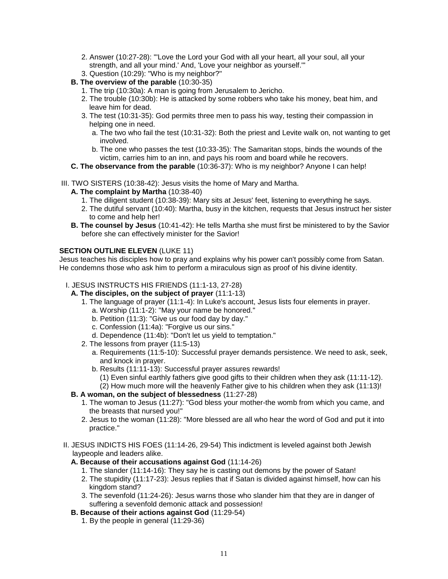- 2. Answer (10:27-28): "'Love the Lord your God with all your heart, all your soul, all your strength, and all your mind.' And, 'Love your neighbor as yourself.'" 3. Question (10:29): "Who is my neighbor?"
- **B. The overview of the parable** (10:30-35)
	- 1. The trip (10:30a): A man is going from Jerusalem to Jericho.
	- 2. The trouble (10:30b): He is attacked by some robbers who take his money, beat him, and leave him for dead.
	- 3. The test (10:31-35): God permits three men to pass his way, testing their compassion in helping one in need.
		- a. The two who fail the test (10:31-32): Both the priest and Levite walk on, not wanting to get involved.
		- b. The one who passes the test (10:33-35): The Samaritan stops, binds the wounds of the victim, carries him to an inn, and pays his room and board while he recovers.
- **C. The observance from the parable** (10:36-37): Who is my neighbor? Anyone I can help!
- III. TWO SISTERS (10:38-42): Jesus visits the home of Mary and Martha.
	- **A. The complaint by Martha** (10:38-40)
		- 1. The diligent student (10:38-39): Mary sits at Jesus' feet, listening to everything he says.
		- 2. The dutiful servant (10:40): Martha, busy in the kitchen, requests that Jesus instruct her sister to come and help her!
	- **B. The counsel by Jesus** (10:41-42): He tells Martha she must first be ministered to by the Savior before she can effectively minister for the Savior!

# **SECTION OUTLINE ELEVEN (LUKE 11)**

Jesus teaches his disciples how to pray and explains why his power can't possibly come from Satan. He condemns those who ask him to perform a miraculous sign as proof of his divine identity.

- I. JESUS INSTRUCTS HIS FRIENDS (11:1-13, 27-28)
	- **A. The disciples, on the subject of prayer** (11:1-13)
		- 1. The language of prayer (11:1-4): In Luke's account, Jesus lists four elements in prayer. a. Worship (11:1-2): "May your name be honored."
			- b. Petition (11:3): "Give us our food day by day."
			- c. Confession (11:4a): "Forgive us our sins."
			- d. Dependence (11:4b): "Don't let us yield to temptation."
		- 2. The lessons from prayer (11:5-13)
			- a. Requirements (11:5-10): Successful prayer demands persistence. We need to ask, seek, and knock in prayer.
			- b. Results (11:11-13): Successful prayer assures rewards!
				- (1) Even sinful earthly fathers give good gifts to their children when they ask (11:11-12). (2) How much more will the heavenly Father give to his children when they ask (11:13)!

# **B. A woman, on the subject of blessedness** (11:27-28)

- 1. The woman to Jesus (11:27): "God bless your mother-the womb from which you came, and the breasts that nursed you!"
- 2. Jesus to the woman (11:28): "More blessed are all who hear the word of God and put it into practice."
- II. JESUS INDICTS HIS FOES (11:14-26, 29-54) This indictment is leveled against both Jewish laypeople and leaders alike.

# **A. Because of their accusations against God** (11:14-26)

- 1. The slander (11:14-16): They say he is casting out demons by the power of Satan!
- 2. The stupidity (11:17-23): Jesus replies that if Satan is divided against himself, how can his kingdom stand?
- 3. The sevenfold (11:24-26): Jesus warns those who slander him that they are in danger of suffering a sevenfold demonic attack and possession!
- **B. Because of their actions against God** (11:29-54)
	- 1. By the people in general (11:29-36)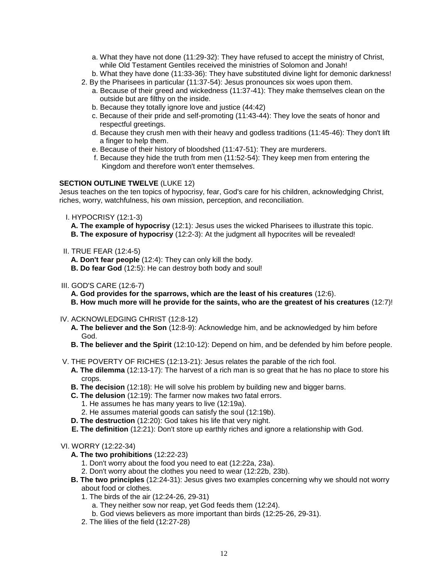- a. What they have not done (11:29-32): They have refused to accept the ministry of Christ, while Old Testament Gentiles received the ministries of Solomon and Jonah!
- b. What they have done (11:33-36): They have substituted divine light for demonic darkness!
- 2. By the Pharisees in particular (11:37-54): Jesus pronounces six woes upon them. a. Because of their greed and wickedness (11:37-41): They make themselves clean on the outside but are filthy on the inside.
	- b. Because they totally ignore love and justice (44:42)
	- c. Because of their pride and self-promoting (11:43-44): They love the seats of honor and respectful greetings.
	- d. Because they crush men with their heavy and godless traditions (11:45-46): They don't lift a finger to help them.
	- e. Because of their history of bloodshed (11:47-51): They are murderers.
	- f. Because they hide the truth from men (11:52-54): They keep men from entering the Kingdom and therefore won't enter themselves.

#### **SECTION OUTLINE TWELVE** (LUKE 12)

Jesus teaches on the ten topics of hypocrisy, fear, God's care for his children, acknowledging Christ, riches, worry, watchfulness, his own mission, perception, and reconciliation.

- I. HYPOCRISY (12:1-3)
	- **A. The example of hypocrisy** (12:1): Jesus uses the wicked Pharisees to illustrate this topic.
	- **B. The exposure of hypocrisy** (12:2-3): At the judgment all hypocrites will be revealed!
- II. TRUE FEAR (12:4-5)

**A. Don't fear people** (12:4): They can only kill the body.

- **B. Do fear God** (12:5): He can destroy both body and soul!
- III. GOD'S CARE (12:6-7)
	- **A. God provides for the sparrows, which are the least of his creatures** (12:6).
	- **B. How much more will he provide for the saints, who are the greatest of his creatures** (12:7)!
- IV. ACKNOWLEDGING CHRIST (12:8-12)
	- **A. The believer and the Son** (12:8-9): Acknowledge him, and be acknowledged by him before God.
	- **B. The believer and the Spirit** (12:10-12): Depend on him, and be defended by him before people.
- V. THE POVERTY OF RICHES (12:13-21): Jesus relates the parable of the rich fool.
	- **A. The dilemma** (12:13-17): The harvest of a rich man is so great that he has no place to store his crops.
	- **B. The decision** (12:18): He will solve his problem by building new and bigger barns.
	- **C. The delusion** (12:19): The farmer now makes two fatal errors.
		- 1. He assumes he has many years to live (12:19a).
		- 2. He assumes material goods can satisfy the soul (12:19b).
	- **D. The destruction** (12:20): God takes his life that very night.
	- **E. The definition** (12:21): Don't store up earthly riches and ignore a relationship with God.
- VI. WORRY (12:22-34)
	- **A. The two prohibitions** (12:22-23)
		- 1. Don't worry about the food you need to eat (12:22a, 23a).
		- 2. Don't worry about the clothes you need to wear (12:22b, 23b).
	- **B. The two principles** (12:24-31): Jesus gives two examples concerning why we should not worry about food or clothes.
		- 1. The birds of the air (12:24-26, 29-31)
			- a. They neither sow nor reap, yet God feeds them (12:24).
			- b. God views believers as more important than birds (12:25-26, 29-31).
		- 2. The lilies of the field (12:27-28)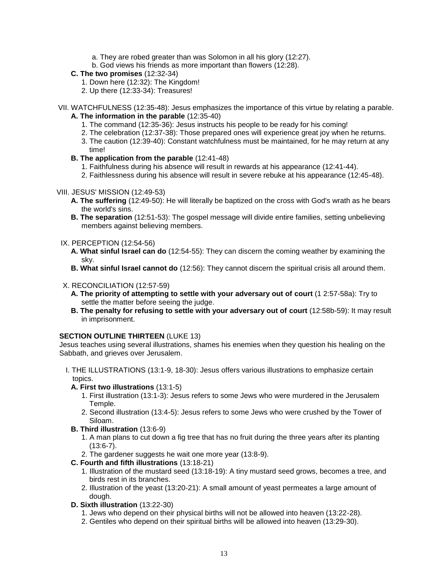- a. They are robed greater than was Solomon in all his glory (12:27).
- b. God views his friends as more important than flowers (12:28).
- **C. The two promises** (12:32-34)
	- 1. Down here (12:32): The Kingdom!
	- 2. Up there (12:33-34): Treasures!
- VII. WATCHFULNESS (12:35-48): Jesus emphasizes the importance of this virtue by relating a parable. **A. The information in the parable** (12:35-40)
	- 1. The command (12:35-36): Jesus instructs his people to be ready for his coming!
	- 2. The celebration (12:37-38): Those prepared ones will experience great joy when he returns.
	- 3. The caution (12:39-40): Constant watchfulness must be maintained, for he may return at any time!
	- **B. The application from the parable** (12:41-48)
		- 1. Faithfulness during his absence will result in rewards at his appearance (12:41-44).
		- 2. Faithlessness during his absence will result in severe rebuke at his appearance (12:45-48).

#### VIII. JESUS' MISSION (12:49-53)

- **A. The suffering** (12:49-50): He will literally be baptized on the cross with God's wrath as he bears the world's sins.
- **B. The separation** (12:51-53): The gospel message will divide entire families, setting unbelieving members against believing members.

#### IX. PERCEPTION (12:54-56)

- **A. What sinful Israel can do** (12:54-55): They can discern the coming weather by examining the sky.
- **B. What sinful Israel cannot do** (12:56): They cannot discern the spiritual crisis all around them.

#### X. RECONCILIATION (12:57-59)

- **A. The priority of attempting to settle with your adversary out of court** (1 2:57-58a): Try to settle the matter before seeing the judge.
- **B. The penalty for refusing to settle with your adversary out of court** (12:58b-59): It may result in imprisonment.

#### **SECTION OUTLINE THIRTEEN (LUKE 13)**

Jesus teaches using several illustrations, shames his enemies when they question his healing on the Sabbath, and grieves over Jerusalem.

- I. THE ILLUSTRATIONS (13:1-9, 18-30): Jesus offers various illustrations to emphasize certain topics.
- **A. First two illustrations** (13:1-5)
	- 1. First illustration (13:1-3): Jesus refers to some Jews who were murdered in the Jerusalem Temple.
	- 2. Second illustration (13:4-5): Jesus refers to some Jews who were crushed by the Tower of Siloam.
- **B. Third illustration** (13:6-9)
	- 1. A man plans to cut down a fig tree that has no fruit during the three years after its planting (13:6-7).
	- 2. The gardener suggests he wait one more year (13:8-9).
- **C. Fourth and fifth illustrations** (13:18-21)
	- 1. Illustration of the mustard seed (13:18-19): A tiny mustard seed grows, becomes a tree, and birds rest in its branches.
	- 2. Illustration of the yeast (13:20-21): A small amount of yeast permeates a large amount of dough.
- **D. Sixth illustration** (13:22-30)
	- 1. Jews who depend on their physical births will not be allowed into heaven (13:22-28).
	- 2. Gentiles who depend on their spiritual births will be allowed into heaven (13:29-30).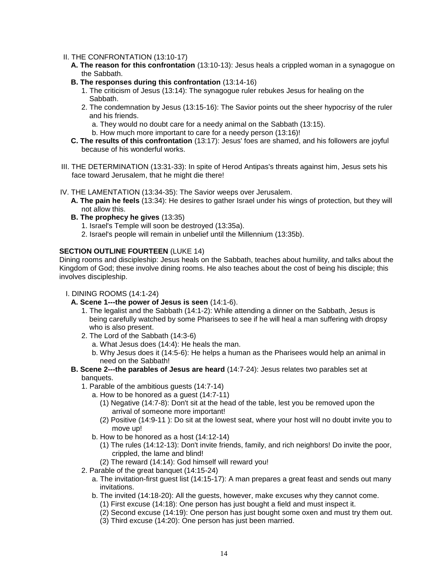#### II. THE CONFRONTATION (13:10-17)

- **A. The reason for this confrontation** (13:10-13): Jesus heals a crippled woman in a synagogue on the Sabbath.
- **B. The responses during this confrontation** (13:14-16)
	- 1. The criticism of Jesus (13:14): The synagogue ruler rebukes Jesus for healing on the Sabbath.
	- 2. The condemnation by Jesus (13:15-16): The Savior points out the sheer hypocrisy of the ruler and his friends.
		- a. They would no doubt care for a needy animal on the Sabbath (13:15).
		- b. How much more important to care for a needy person (13:16)!
- **C. The results of this confrontation** (13:17): Jesus' foes are shamed, and his followers are joyful because of his wonderful works.
- III. THE DETERMINATION (13:31-33): In spite of Herod Antipas's threats against him, Jesus sets his face toward Jerusalem, that he might die there!
- IV. THE LAMENTATION (13:34-35): The Savior weeps over Jerusalem.
	- **A. The pain he feels** (13:34): He desires to gather Israel under his wings of protection, but they will not allow this.
	- **B. The prophecy he gives** (13:35)
		- 1. Israel's Temple will soon be destroyed (13:35a).
		- 2. Israel's people will remain in unbelief until the Millennium (13:35b).

#### **SECTION OUTLINE FOURTEEN** (LUKE 14)

Dining rooms and discipleship: Jesus heals on the Sabbath, teaches about humility, and talks about the Kingdom of God; these involve dining rooms. He also teaches about the cost of being his disciple; this involves discipleship.

#### I. DINING ROOMS (14:1-24)

- **A. Scene 1---the power of Jesus is seen** (14:1-6).
	- 1. The legalist and the Sabbath (14:1-2): While attending a dinner on the Sabbath, Jesus is being carefully watched by some Pharisees to see if he will heal a man suffering with dropsy who is also present.
	- 2. The Lord of the Sabbath (14:3-6)
		- a. What Jesus does (14:4): He heals the man.
		- b. Why Jesus does it (14:5-6): He helps a human as the Pharisees would help an animal in need on the Sabbath!
- **B. Scene 2---the parables of Jesus are heard** (14:7-24): Jesus relates two parables set at banquets.
	- 1. Parable of the ambitious guests (14:7-14)
		- a. How to be honored as a guest (14:7-11)
			- (1) Negative (14:7-8): Don't sit at the head of the table, lest you be removed upon the arrival of someone more important!
			- (2) Positive (14:9-11 ): Do sit at the lowest seat, where your host will no doubt invite you to move up!
		- b. How to be honored as a host (14:12-14)
			- (1) The rules (14:12-13): Don't invite friends, family, and rich neighbors! Do invite the poor, crippled, the lame and blind!
			- (2) The reward (14:14): God himself will reward you!
	- 2. Parable of the great banquet (14:15-24)
		- a. The invitation-first guest list (14:15-17): A man prepares a great feast and sends out many invitations.
		- b. The invited (14:18-20): All the guests, however, make excuses why they cannot come.
			- (1) First excuse (14:18): One person has just bought a field and must inspect it.
			- (2) Second excuse (14:19): One person has just bought some oxen and must try them out.
			- (3) Third excuse (14:20): One person has just been married.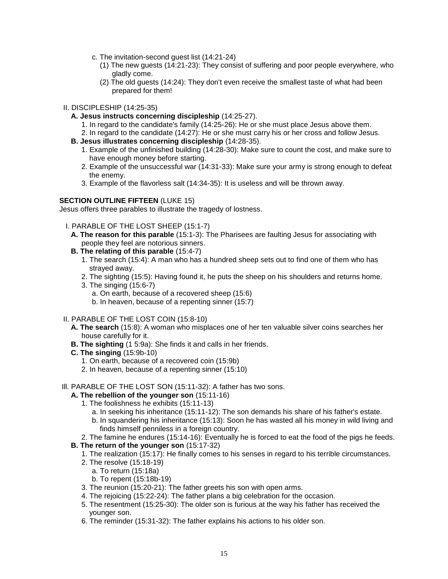- c. The invitation-second guest list (14:21-24)
	- (1) The new guests (14:21-23): They consist of suffering and poor people everywhere, who gladly come.
	- (2) The old guests (14:24): They don't even receive the smallest taste of what had been prepared for them!
- II. DISCIPLESHIP (14:25-35)
	- **A. Jesus instructs concerning discipleship** (14:25-27).
		- 1. In regard to the candidate's family (14:25-26): He or she must place Jesus above them.
		- 2. In regard to the candidate (14:27): He or she must carry his or her cross and follow Jesus.
	- **B. Jesus illustrates concerning discipleship** (14:28-35).
		- 1. Example of the unfinished building (14:28-30): Make sure to count the cost, and make sure to have enough money before starting.
		- 2. Example of the unsuccessful war (14:31-33): Make sure your army is strong enough to defeat the enemy.
		- 3. Example of the flavorless salt (14:34-35): It is useless and will be thrown away.

#### **SECTION OUTLINE FIFTEEN (LUKE 15)**

Jesus offers three parables to illustrate the tragedy of lostness.

- I. PARABLE OF THE LOST SHEEP (15:1-7)
	- **A. The reason for this parable** (15:1-3): The Pharisees are faulting Jesus for associating with people they feel are notorious sinners.
	- **B. The relating of this parable** (15:4-7)
		- 1. The search (15:4): A man who has a hundred sheep sets out to find one of them who has strayed away.
		- 2. The sighting (15:5): Having found it, he puts the sheep on his shoulders and returns home.
		- 3. The singing (15:6-7)
			- a. On earth, because of a recovered sheep (15:6)
			- b. In heaven, because of a repenting sinner (15:7)
- II. PARABLE OF THE LOST COIN (15:8-10)
	- **A. The search** (15:8): A woman who misplaces one of her ten valuable silver coins searches her house carefully for it.
	- **B. The sighting** (1 5:9a): She finds it and calls in her friends.
	- **C. The singing** (15:9b-10)
		- 1. On earth, because of a recovered coin (15:9b)
		- 2. In heaven, because of a repenting sinner (15:10)
- Ill. PARABLE OF THE LOST SON (15:11-32): A father has two sons.

# **A. The rebellion of the younger son** (15:11-16)

- 1. The foolishness he exhibits (15:11-13)
	- a. In seeking his inheritance (15:11-12): The son demands his share of his father's estate.
	- b. In squandering his inheritance (15:13): Soon he has wasted all his money in wild living and finds himself penniless in a foreign country.
- 2. The famine he endures (15:14-16): Eventually he is forced to eat the food of the pigs he feeds.

# **B. The return of the younger son** (15:17-32)

- 1. The realization (15:17): He finally comes to his senses in regard to his terrible circumstances.
- 2. The resolve (15:18-19)
	- a. To return (15:18a)
	- b. To repent (15:18b-19)
- 3. The reunion (15:20-21): The father greets his son with open arms.
- 4. The rejoicing (15:22-24): The father plans a big celebration for the occasion.
- 5. The resentment (15:25-30): The older son is furious at the way his father has received the younger son.
- 6. The reminder (15:31-32): The father explains his actions to his older son.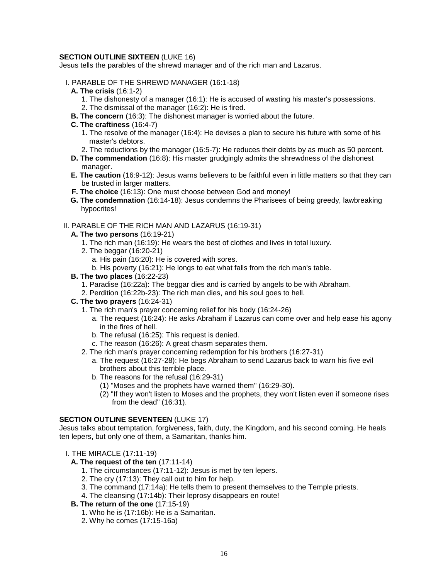#### **SECTION OUTLINE SIXTEEN (LUKE 16)**

Jesus tells the parables of the shrewd manager and of the rich man and Lazarus.

- I. PARABLE OF THE SHREWD MANAGER (16:1-18)
	- **A. The crisis** (16:1-2)
		- 1. The dishonesty of a manager (16:1): He is accused of wasting his master's possessions.
		- 2. The dismissal of the manager (16:2): He is fired.
	- **B. The concern** (16:3): The dishonest manager is worried about the future.
	- **C. The craftiness** (16:4-7)
		- 1. The resolve of the manager (16:4): He devises a plan to secure his future with some of his master's debtors.
		- 2. The reductions by the manager (16:5-7): He reduces their debts by as much as 50 percent.
	- **D. The commendation** (16:8): His master grudgingly admits the shrewdness of the dishonest manager.
	- **E. The caution** (16:9-12): Jesus warns believers to be faithful even in little matters so that they can be trusted in larger matters.
	- **F. The choice** (16:13): One must choose between God and money!
	- **G. The condemnation** (16:14-18): Jesus condemns the Pharisees of being greedy, lawbreaking hypocrites!

#### II. PARABLE OF THE RICH MAN AND LAZARUS (16:19-31)

- **A. The two persons** (16:19-21)
	- 1. The rich man (16:19): He wears the best of clothes and lives in total luxury.
	- 2. The beggar (16:20-21)
		- a. His pain (16:20): He is covered with sores.
		- b. His poverty (16:21): He longs to eat what falls from the rich man's table.
- **B. The two places** (16:22-23)
	- 1. Paradise (16:22a): The beggar dies and is carried by angels to be with Abraham.
	- 2. Perdition (16:22b-23): The rich man dies, and his soul goes to hell.
- **C. The two prayers** (16:24-31)
	- 1. The rich man's prayer concerning relief for his body (16:24-26)
		- a. The request (16:24): He asks Abraham if Lazarus can come over and help ease his agony in the fires of hell.
		- b. The refusal (16:25): This request is denied.
		- c. The reason (16:26): A great chasm separates them.
	- 2. The rich man's prayer concerning redemption for his brothers (16:27-31)
		- a. The request (16:27-28): He begs Abraham to send Lazarus back to warn his five evil brothers about this terrible place.
		- b. The reasons for the refusal (16:29-31)
			- (1) "Moses and the prophets have warned them" (16:29-30).
			- (2) "If they won't listen to Moses and the prophets, they won't listen even if someone rises from the dead" (16:31).

#### **SECTION OUTLINE SEVENTEEN (LUKE 17)**

Jesus talks about temptation, forgiveness, faith, duty, the Kingdom, and his second coming. He heals ten lepers, but only one of them, a Samaritan, thanks him.

#### I. THE MIRACLE (17:11-19)

# **A. The request of the ten** (17:11-14)

- 1. The circumstances (17:11-12): Jesus is met by ten lepers.
- 2. The cry (17:13): They call out to him for help.
- 3. The command (17:14a): He tells them to present themselves to the Temple priests.
- 4. The cleansing (17:14b): Their leprosy disappears en route!

# **B. The return of the one** (17:15-19)

- 1. Who he is (17:16b): He is a Samaritan.
- 2. Why he comes (17:15-16a)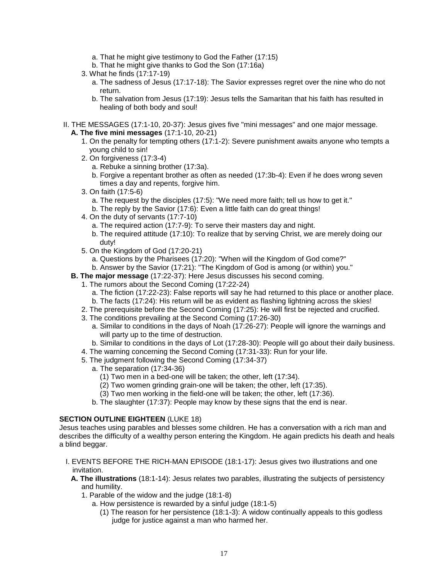- a. That he might give testimony to God the Father (17:15)
- b. That he might give thanks to God the Son (17:16a)
- 3. What he finds (17:17-19)
	- a. The sadness of Jesus (17:17-18): The Savior expresses regret over the nine who do not return.
	- b. The salvation from Jesus (17:19): Jesus tells the Samaritan that his faith has resulted in healing of both body and soul!
- II. THE MESSAGES (17:1-10, 20-37): Jesus gives five "mini messages" and one major message. **A. The five mini messages** (17:1-10, 20-21)
	- 1. On the penalty for tempting others (17:1-2): Severe punishment awaits anyone who tempts a young child to sin!
	- 2. On forgiveness (17:3-4)
		- a. Rebuke a sinning brother (17:3a).
		- b. Forgive a repentant brother as often as needed (17:3b-4): Even if he does wrong seven times a day and repents, forgive him.
	- 3. On faith (17:5-6)
		- a. The request by the disciples (17:5): "We need more faith; tell us how to get it."
		- b. The reply by the Savior (17:6): Even a little faith can do great things!
	- 4. On the duty of servants (17:7-10)
		- a. The required action (17:7-9): To serve their masters day and night.
		- b. The required attitude (17:10): To realize that by serving Christ, we are merely doing our duty!
	- 5. On the Kingdom of God (17:20-21)
		- a. Questions by the Pharisees (17:20): "When will the Kingdom of God come?"
		- b. Answer by the Savior (17:21): "The Kingdom of God is among (or within) you."
	- **B. The major message** (17:22-37): Here Jesus discusses his second coming.
		- 1. The rumors about the Second Coming (17:22-24)
			- a. The fiction (17:22-23): False reports will say he had returned to this place or another place.
			- b. The facts (17:24): His return will be as evident as flashing lightning across the skies!
			- 2. The prerequisite before the Second Coming (17:25): He will first be rejected and crucified.
			- 3. The conditions prevailing at the Second Coming (17:26-30)
				- a. Similar to conditions in the days of Noah (17:26-27): People will ignore the warnings and will party up to the time of destruction.
				- b. Similar to conditions in the days of Lot (17:28-30): People will go about their daily business.
		- 4. The warning concerning the Second Coming (17:31-33): Run for your life.
		- 5. The judgment following the Second Coming (17:34-37)
			- a. The separation (17:34-36)
				- (1) Two men in a bed-one will be taken; the other, left (17:34).
				- (2) Two women grinding grain-one will be taken; the other, left (17:35).
				- (3) Two men working in the field-one will be taken; the other, left (17:36).
			- b. The slaughter (17:37): People may know by these signs that the end is near.

#### **SECTION OUTLINE EIGHTEEN (LUKE 18)**

Jesus teaches using parables and blesses some children. He has a conversation with a rich man and describes the difficulty of a wealthy person entering the Kingdom. He again predicts his death and heals a blind beggar.

- I. EVENTS BEFORE THE RICH-MAN EPISODE (18:1-17): Jesus gives two illustrations and one invitation.
	- **A. The illustrations** (18:1-14): Jesus relates two parables, illustrating the subjects of persistency and humility.
		- 1. Parable of the widow and the judge (18:1-8)
			- a. How persistence is rewarded by a sinful judge (18:1-5)
				- (1) The reason for her persistence (18:1-3): A widow continually appeals to this godless judge for justice against a man who harmed her.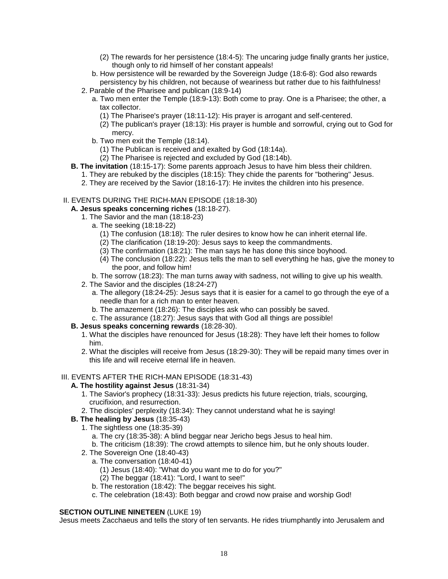- (2) The rewards for her persistence (18:4-5): The uncaring judge finally grants her justice, though only to rid himself of her constant appeals!
- b. How persistence will be rewarded by the Sovereign Judge (18:6-8): God also rewards persistency by his children, not because of weariness but rather due to his faithfulness!
- 2. Parable of the Pharisee and publican (18:9-14)
	- a. Two men enter the Temple (18:9-13): Both come to pray. One is a Pharisee; the other, a tax collector.
		- (1) The Pharisee's prayer (18:11-12): His prayer is arrogant and self-centered.
		- (2) The publican's prayer (18:13): His prayer is humble and sorrowful, crying out to God for mercy.
	- b. Two men exit the Temple (18:14).
		- (1) The Publican is received and exalted by God (18:14a).
		- (2) The Pharisee is rejected and excluded by God (18:14b).
- **B. The invitation** (18:15-17): Some parents approach Jesus to have him bless their children.
	- 1. They are rebuked by the disciples (18:15): They chide the parents for "bothering" Jesus.
	- 2. They are received by the Savior (18:16-17): He invites the children into his presence.

#### II. EVENTS DURING THE RICH-MAN EPISODE (18:18-30)

# **A. Jesus speaks concerning riches** (18:18-27).

- 1. The Savior and the man (18:18-23)
	- a. The seeking (18:18-22)
		- (1) The confusion (18:18): The ruler desires to know how he can inherit eternal life.
		- (2) The clarification (18:19-20): Jesus says to keep the commandments.
		- (3) The confirmation (18:21): The man says he has done this since boyhood.
		- (4) The conclusion (18:22): Jesus tells the man to sell everything he has, give the money to the poor, and follow him!
		- b. The sorrow (18:23): The man turns away with sadness, not willing to give up his wealth.
- 2. The Savior and the disciples (18:24-27)
	- a. The allegory (18:24-25): Jesus says that it is easier for a camel to go through the eye of a needle than for a rich man to enter heaven.
	- b. The amazement (18:26): The disciples ask who can possibly be saved.
	- c. The assurance (18:27): Jesus says that with God all things are possible!

#### **B. Jesus speaks concerning rewards** (18:28-30).

- 1. What the disciples have renounced for Jesus (18:28): They have left their homes to follow him.
- 2. What the disciples will receive from Jesus (18:29-30): They will be repaid many times over in this life and will receive eternal life in heaven.

#### III. EVENTS AFTER THE RICH-MAN EPISODE (18:31-43)

#### **A. The hostility against Jesus** (18:31-34)

- 1. The Savior's prophecy (18:31-33): Jesus predicts his future rejection, trials, scourging, crucifixion, and resurrection.
- 2. The disciples' perplexity (18:34): They cannot understand what he is saying!
- **B. The healing by Jesus** (18:35-43)
	- 1. The sightless one (18:35-39)
		- a. The cry (18:35-38): A blind beggar near Jericho begs Jesus to heal him.
		- b. The criticism (18:39): The crowd attempts to silence him, but he only shouts louder.
	- 2. The Sovereign One (18:40-43)
		- a. The conversation (18:40-41)
			- (1) Jesus (18:40): "What do you want me to do for you?"
			- (2) The beggar (18:41): "Lord, I want to see!"
		- b. The restoration (18:42): The beggar receives his sight.
		- c. The celebration (18:43): Both beggar and crowd now praise and worship God!

#### **SECTION OUTLINE NINETEEN (LUKE 19)**

Jesus meets Zacchaeus and tells the story of ten servants. He rides triumphantly into Jerusalem and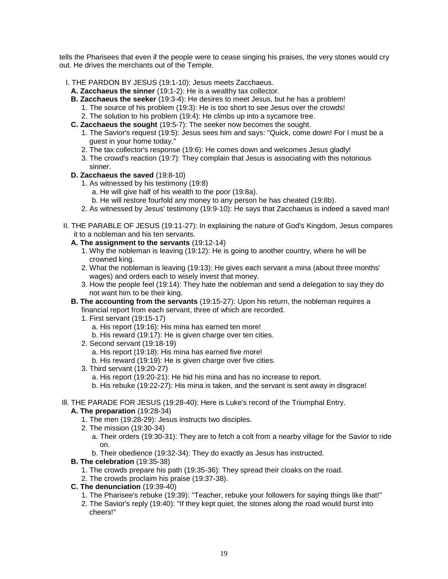tells the Pharisees that even if the people were to cease singing his praises, the very stones would cry out. He drives the merchants out of the Temple.

- I. THE PARDON BY JESUS (19:1-10): Jesus meets Zacchaeus.
	- **A. Zacchaeus the sinner** (19:1-2): He is a wealthy tax collector.
	- **B. Zacchaeus the seeker** (19:3-4): He desires to meet Jesus, but he has a problem!
		- 1. The source of his problem (19:3): He is too short to see Jesus over the crowds!
		- 2. The solution to his problem (19:4): He climbs up into a sycamore tree.
	- **C. Zacchaeus the sought** (19:5-7): The seeker now becomes the sought.
		- 1. The Savior's request (19:5): Jesus sees him and says: "Quick, come down! For I must be a guest in your home today."
		- 2. The tax collector's response (19:6): He comes down and welcomes Jesus gladly!
		- 3. The crowd's reaction (19:7): They complain that Jesus is associating with this notorious sinner.
	- **D. Zacchaeus the saved** (19:8-10)
		- 1. As witnessed by his testimony (19:8)
			- a. He will give half of his wealth to the poor (19:8a).
			- b. He will restore fourfold any money to any person he has cheated (19:8b).
		- 2. As witnessed by Jesus' testimony (19:9-10): He says that Zacchaeus is indeed a saved man!
- II. THE PARABLE OF JESUS (19:11-27): In explaining the nature of God's Kingdom, Jesus compares it to a nobleman and his ten servants.
	- **A. The assignment to the servants** (19:12-14)
		- 1. Why the nobleman is leaving (19:12): He is going to another country, where he will be crowned king.
		- 2. What the nobleman is leaving (19:13): He gives each servant a mina (about three months' wages) and orders each to wisely invest that money.
		- 3. How the people feel (19:14): They hate the nobleman and send a delegation to say they do not want him to be their king.
	- **B. The accounting from the servants** (19:15-27): Upon his return, the nobleman requires a financial report from each servant, three of which are recorded.
		- 1. First servant (19:15-17)
			- a. His report (19:16): His mina has earned ten more!
			- b. His reward (19:17): He is given charge over ten cities.
		- 2. Second servant (19:18-19)
			- a. His report (19:18): His mina has earned five more!
			- b. His reward (19:19): He is given charge over five cities.
		- 3. Third servant (19:20-27)
			- a. His report (19:20-21): He hid his mina and has no increase to report.
			- b. His rebuke (19:22-27): His mina is taken, and the servant is sent away in disgrace!
- Ill. THE PARADE FOR JESUS (19:28-40): Here is Luke's record of the Triumphal Entry.

#### **A. The preparation** (19:28-34)

- 1. The men (19:28-29): Jesus instructs two disciples.
- 2. The mission (19:30-34)
	- a. Their orders (19:30-31): They are to fetch a colt from a nearby village for the Savior to ride on.
	- b. Their obedience (19:32-34): They do exactly as Jesus has instructed.
- **B. The celebration** (19:35-38)
	- 1. The crowds prepare his path (19:35-36): They spread their cloaks on the road.
	- 2. The crowds proclaim his praise (19:37-38).
- **C. The denunciation** (19:39-40)
	- 1. The Pharisee's rebuke (19:39): "Teacher, rebuke your followers for saying things like that!"
	- 2. The Savior's reply (19:40): "If they kept quiet, the stones along the road would burst into cheers!"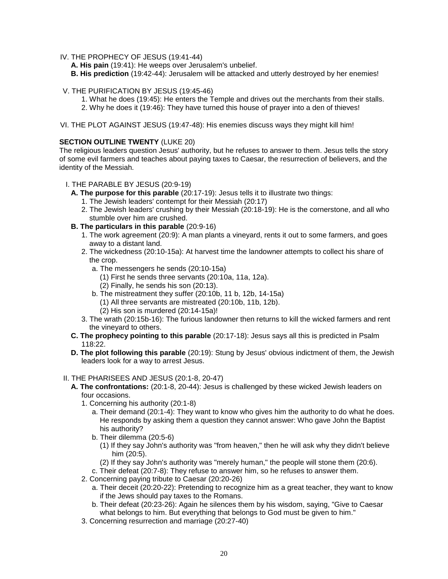- IV. THE PROPHECY OF JESUS (19:41-44)
	- **A. His pain** (19:41): He weeps over Jerusalem's unbelief.
	- **B. His prediction** (19:42-44): Jerusalem will be attacked and utterly destroyed by her enemies!
- V. THE PURIFICATION BY JESUS (19:45-46)
	- 1. What he does (19:45): He enters the Temple and drives out the merchants from their stalls.
	- 2. Why he does it (19:46): They have turned this house of prayer into a den of thieves!
- VI. THE PLOT AGAINST JESUS (19:47-48): His enemies discuss ways they might kill him!

### **SECTION OUTLINE TWENTY** (LUKE 20)

The religious leaders question Jesus' authority, but he refuses to answer to them. Jesus tells the story of some evil farmers and teaches about paying taxes to Caesar, the resurrection of believers, and the identity of the Messiah.

#### I. THE PARABLE BY JESUS (20:9-19)

- **A. The purpose for this parable** (20:17-19): Jesus tells it to illustrate two things:
	- 1. The Jewish leaders' contempt for their Messiah (20:17)
	- 2. The Jewish leaders' crushing by their Messiah (20:18-19): He is the cornerstone, and all who stumble over him are crushed.
- **B. The particulars in this parable** (20:9-16)
	- 1. The work agreement (20:9): A man plants a vineyard, rents it out to some farmers, and goes away to a distant land.
	- 2. The wickedness (20:10-15a): At harvest time the landowner attempts to collect his share of the crop.
		- a. The messengers he sends (20:10-15a)
			- (1) First he sends three servants (20:10a, 11a, 12a).
			- (2) Finally, he sends his son (20:13).
		- b. The mistreatment they suffer (20:10b, 11 b, 12b, 14-15a)
			- (1) All three servants are mistreated (20:10b, 11b, 12b).
			- (2) His son is murdered (20:14-15a)!
	- 3. The wrath (20:15b-16): The furious landowner then returns to kill the wicked farmers and rent the vineyard to others.
- **C. The prophecy pointing to this parable** (20:17-18): Jesus says all this is predicted in Psalm 118:22.
- **D. The plot following this parable** (20:19): Stung by Jesus' obvious indictment of them, the Jewish leaders look for a way to arrest Jesus.

#### II. THE PHARISEES AND JESUS (20:1-8, 20-47)

- **A. The confrontations:** (20:1-8, 20-44): Jesus is challenged by these wicked Jewish leaders on four occasions.
	- 1. Concerning his authority (20:1-8)
		- a. Their demand (20:1-4): They want to know who gives him the authority to do what he does. He responds by asking them a question they cannot answer: Who gave John the Baptist his authority?
		- b. Their dilemma (20:5-6)
			- (1) If they say John's authority was "from heaven," then he will ask why they didn't believe him (20:5).
			- (2) If they say John's authority was "merely human," the people will stone them (20:6).
		- c. Their defeat (20:7-8): They refuse to answer him, so he refuses to answer them.
	- 2. Concerning paying tribute to Caesar (20:20-26)
		- a. Their deceit (20:20-22): Pretending to recognize him as a great teacher, they want to know if the Jews should pay taxes to the Romans.
		- b. Their defeat (20:23-26): Again he silences them by his wisdom, saying, "Give to Caesar what belongs to him. But everything that belongs to God must be given to him."
	- 3. Concerning resurrection and marriage (20:27-40)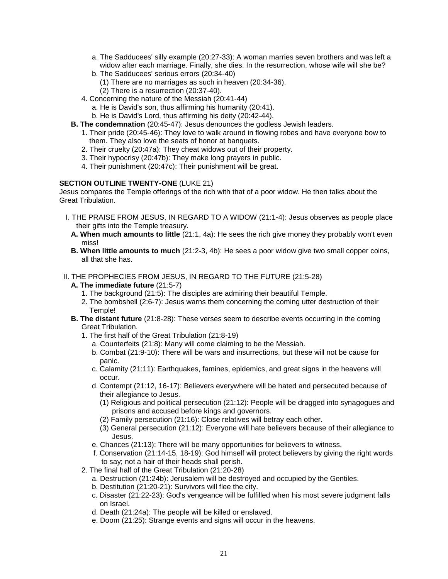- a. The Sadducees' silly example (20:27-33): A woman marries seven brothers and was left a widow after each marriage. Finally, she dies. In the resurrection, whose wife will she be?
- b. The Sadducees' serious errors (20:34-40)
	- (1) There are no marriages as such in heaven (20:34-36).
	- (2) There is a resurrection (20:37-40).
- 4. Concerning the nature of the Messiah (20:41-44)
	- a. He is David's son, thus affirming his humanity (20:41).
	- b. He is David's Lord, thus affirming his deity (20:42-44).
- **B. The condemnation** (20:45-47): Jesus denounces the godless Jewish leaders.
	- 1. Their pride (20:45-46): They love to walk around in flowing robes and have everyone bow to them. They also love the seats of honor at banquets.
	- 2. Their cruelty (20:47a): They cheat widows out of their property.
	- 3. Their hypocrisy (20:47b): They make long prayers in public.
	- 4. Their punishment (20:47c): Their punishment will be great.

#### **SECTION OUTLINE TWENTY-ONE** (LUKE 21)

Jesus compares the Temple offerings of the rich with that of a poor widow. He then talks about the Great Tribulation.

- I. THE PRAISE FROM JESUS, IN REGARD TO A WIDOW (21:1-4): Jesus observes as people place their gifts into the Temple treasury.
	- **A. When much amounts to little** (21:1, 4a): He sees the rich give money they probably won't even miss!
	- **B. When little amounts to much** (21:2-3, 4b): He sees a poor widow give two small copper coins, all that she has.
- II. THE PROPHECIES FROM JESUS, IN REGARD TO THE FUTURE (21:5-28)
	- **A. The immediate future** (21:5-7)
		- 1. The background (21:5): The disciples are admiring their beautiful Temple.
		- 2. The bombshell (2:6-7): Jesus warns them concerning the coming utter destruction of their Temple!
	- **B. The distant future** (21:8-28): These verses seem to describe events occurring in the coming Great Tribulation.
		- 1. The first half of the Great Tribulation (21:8-19)
			- a. Counterfeits (21:8): Many will come claiming to be the Messiah.
			- b. Combat (21:9-10): There will be wars and insurrections, but these will not be cause for panic.
			- c. Calamity (21:11): Earthquakes, famines, epidemics, and great signs in the heavens will occur.
			- d. Contempt (21:12, 16-17): Believers everywhere will be hated and persecuted because of their allegiance to Jesus.
				- (1) Religious and political persecution (21:12): People will be dragged into synagogues and prisons and accused before kings and governors.
				- (2) Family persecution (21:16): Close relatives will betray each other.
				- (3) General persecution (21:12): Everyone will hate believers because of their allegiance to Jesus.
			- e. Chances (21:13): There will be many opportunities for believers to witness.
			- f. Conservation (21:14-15, 18-19): God himself will protect believers by giving the right words to say; not a hair of their heads shall perish.
		- 2. The final half of the Great Tribulation (21:20-28)
			- a. Destruction (21:24b): Jerusalem will be destroyed and occupied by the Gentiles.
			- b. Destitution (21:20-21): Survivors will flee the city.
			- c. Disaster (21:22-23): God's vengeance will be fulfilled when his most severe judgment falls on Israel.
			- d. Death (21:24a): The people will be killed or enslaved.
			- e. Doom (21:25): Strange events and signs will occur in the heavens.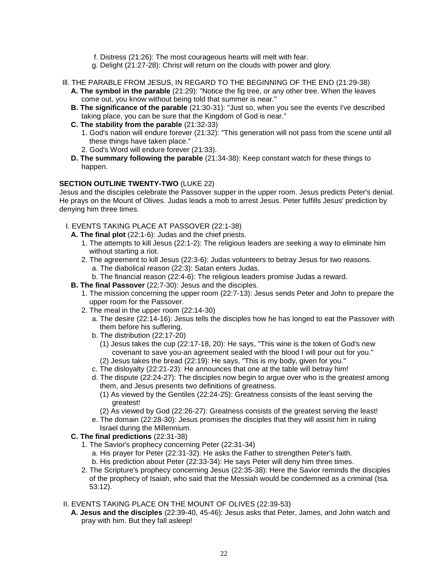- f. Distress (21:26): The most courageous hearts will melt with fear.
- g. Delight (21:27-28): Christ will return on the clouds with power and glory.
- Ill. THE PARABLE FROM JESUS, IN REGARD TO THE BEGINNING OF THE END (21:29-38)
	- **A. The symbol in the parable** (21:29): "Notice the fig tree, or any other tree. When the leaves come out, you know without being told that summer is near."
	- **B. The significance of the parable** (21:30-31): "Just so, when you see the events I've described taking place, you can be sure that the Kingdom of God is near."
	- **C. The stability from the parable** (21:32-33)
		- 1. God's nation will endure forever (21:32): "This generation will not pass from the scene until all these things have taken place."
		- 2. God's Word will endure forever (21:33).
	- **D. The summary following the parable** (21:34-38): Keep constant watch for these things to happen.

#### **SECTION OUTLINE TWENTY-TWO** (LUKE 22)

Jesus and the disciples celebrate the Passover supper in the upper room. Jesus predicts Peter's denial. He prays on the Mount of Olives. Judas leads a mob to arrest Jesus. Peter fulfills Jesus' prediction by denying him three times.

- I. EVENTS TAKING PLACE AT PASSOVER (22:1-38)
	- **A. The final plot** (22:1-6): Judas and the chief priests.
		- 1. The attempts to kill Jesus (22:1-2): The religious leaders are seeking a way to eliminate him without starting a riot.
		- 2. The agreement to kill Jesus (22:3-6): Judas volunteers to betray Jesus for two reasons.
			- a. The diabolical reason (22:3): Satan enters Judas.
			- b. The financial reason (22:4-6): The religious leaders promise Judas a reward.
	- **B. The final Passover** (22:7-30): Jesus and the disciples.
		- 1. The mission concerning the upper room (22:7-13): Jesus sends Peter and John to prepare the upper room for the Passover.
		- 2. The meal in the upper room (22:14-30)
			- a. The desire (22:14-16): Jesus tells the disciples how he has longed to eat the Passover with them before his suffering.
			- b. The distribution (22:17-20)
				- (1) Jesus takes the cup (22:17-18, 20): He says, "This wine is the token of God's new covenant to save you-an agreement sealed with the blood I will pour out for you." (2) Jesus takes the bread (22:19): He says, "This is my body, given for you."
			- c. The disloyalty (22:21-23): He announces that one at the table will betray him!
			- d. The dispute (22:24-27): The disciples now begin to argue over who is the greatest among them, and Jesus presents two definitions of greatness.
				- (1) As viewed by the Gentiles (22:24-25): Greatness consists of the least serving the greatest!
				- (2) As viewed by God (22:26-27): Greatness consists of the greatest serving the least!
			- e. The domain (22:28-30): Jesus promises the disciples that they will assist him in ruling Israel during the Millennium.
	- **C. The final predictions** (22:31-38)
		- 1. The Savior's prophecy concerning Peter (22:31-34)
			- a. His prayer for Peter (22:31-32): He asks the Father to strengthen Peter's faith.
			- b. His prediction about Peter (22:33-34): He says Peter will deny him three times.
		- 2. The Scripture's prophecy concerning Jesus (22:35-38): Here the Savior reminds the disciples of the prophecy of Isaiah, who said that the Messiah would be condemned as a criminal (Isa. 53:12).

#### II. EVENTS TAKING PLACE ON THE MOUNT OF OLIVES (22:39-53)

**A. Jesus and the disciples** (22:39-40, 45-46): Jesus asks that Peter, James, and John watch and pray with him. But they fall asleep!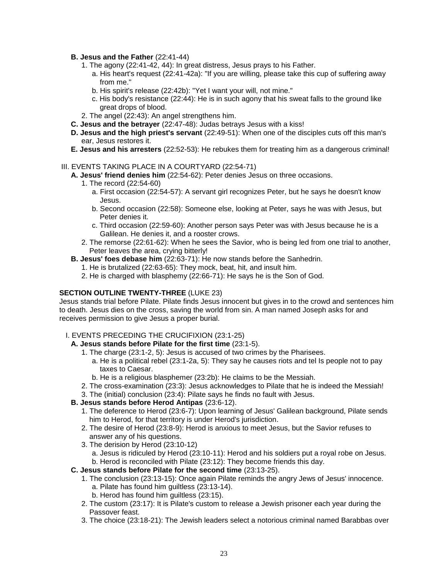- **B. Jesus and the Father** (22:41-44)
	- 1. The agony (22:41-42, 44): In great distress, Jesus prays to his Father.
		- a. His heart's request (22:41-42a): "If you are willing, please take this cup of suffering away from me."
		- b. His spirit's release (22:42b): "Yet I want your will, not mine."
		- c. His body's resistance (22:44): He is in such agony that his sweat falls to the ground like great drops of blood.
	- 2. The angel (22:43): An angel strengthens him.
- **C. Jesus and the betrayer** (22:47-48): Judas betrays Jesus with a kiss!
- **D. Jesus and the high priest's servant** (22:49-51): When one of the disciples cuts off this man's ear, Jesus restores it.
- **E. Jesus and his arresters** (22:52-53): He rebukes them for treating him as a dangerous criminal!

#### III. EVENTS TAKING PLACE IN A COURTYARD (22:54-71)

- **A. Jesus' friend denies him** (22:54-62): Peter denies Jesus on three occasions.
	- 1. The record (22:54-60)
		- a. First occasion (22:54-57): A servant girl recognizes Peter, but he says he doesn't know Jesus.
		- b. Second occasion (22:58): Someone else, looking at Peter, says he was with Jesus, but Peter denies it.
		- c. Third occasion (22:59-60): Another person says Peter was with Jesus because he is a Galilean. He denies it, and a rooster crows.
	- 2. The remorse (22:61-62): When he sees the Savior, who is being led from one trial to another, Peter leaves the area, crying bitterly!
- **B. Jesus' foes debase him** (22:63-71): He now stands before the Sanhedrin.
	- 1. He is brutalized (22:63-65): They mock, beat, hit, and insult him.
	- 2. He is charged with blasphemy (22:66-71): He says he is the Son of God.

### **SECTION OUTLINE TWENTY-THREE** (LUKE 23)

Jesus stands trial before Pilate. Pilate finds Jesus innocent but gives in to the crowd and sentences him to death. Jesus dies on the cross, saving the world from sin. A man named Joseph asks for and receives permission to give Jesus a proper burial.

#### I. EVENTS PRECEDING THE CRUCIFIXION (23:1-25)

- **A. Jesus stands before Pilate for the first time** (23:1-5).
	- 1. The charge (23:1-2, 5): Jesus is accused of two crimes by the Pharisees.
		- a. He is a political rebel (23:1-2a, 5): They say he causes riots and tel Is people not to pay taxes to Caesar.
		- b. He is a religious blasphemer (23:2b): He claims to be the Messiah.
	- 2. The cross-examination (23:3): Jesus acknowledges to Pilate that he is indeed the Messiah!
	- 3. The (initial) conclusion (23:4): Pilate says he finds no fault with Jesus.

# **B. Jesus stands before Herod Antipas** (23:6-12).

- 1. The deference to Herod (23:6-7): Upon learning of Jesus' Galilean background, Pilate sends him to Herod, for that territory is under Herod's jurisdiction.
- 2. The desire of Herod (23:8-9): Herod is anxious to meet Jesus, but the Savior refuses to answer any of his questions.
- 3. The derision by Herod (23:10-12)
	- a. Jesus is ridiculed by Herod (23:10-11): Herod and his soldiers put a royal robe on Jesus. b. Herod is reconciled with Pilate (23:12): They become friends this day.
- **C. Jesus stands before Pilate for the second time** (23:13-25).
	- 1. The conclusion (23:13-15): Once again Pilate reminds the angry Jews of Jesus' innocence. a. Pilate has found him guiltless (23:13-14).
		- b. Herod has found him guiltless (23:15).
	- 2. The custom (23:17): It is Pilate's custom to release a Jewish prisoner each year during the Passover feast.
	- 3. The choice (23:18-21): The Jewish leaders select a notorious criminal named Barabbas over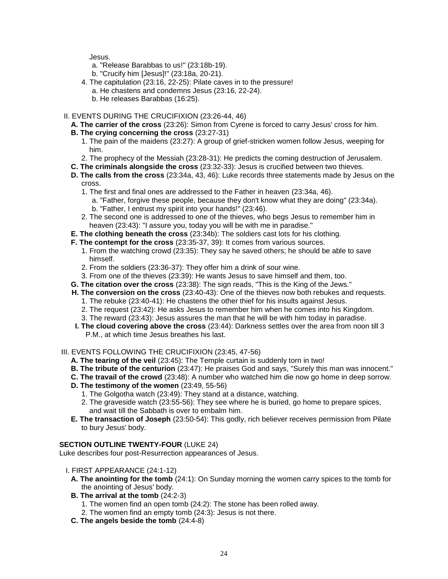Jesus.

- a. "Release Barabbas to us!" (23:18b-19).
- b. "Crucify him [Jesus]!" (23:18a, 20-21).
- 4. The capitulation (23:16, 22-25): Pilate caves in to the pressure!
- a. He chastens and condemns Jesus (23:16, 22-24).
	- b. He releases Barabbas (16:25).
- II. EVENTS DURING THE CRUCIFIXION (23:26-44, 46)
	- **A. The carrier of the cross** (23:26): Simon from Cyrene is forced to carry Jesus' cross for him.
	- **B. The crying concerning the cross** (23:27-31)
		- 1. The pain of the maidens (23:27): A group of grief-stricken women follow Jesus, weeping for him.
		- 2. The prophecy of the Messiah (23:28-31): He predicts the coming destruction of Jerusalem.
	- **C. The criminals alongside the cross** (23:32-33): Jesus is crucified between two thieves.
	- **D. The calls from the cross** (23:34a, 43, 46): Luke records three statements made by Jesus on the cross.
		- 1. The first and final ones are addressed to the Father in heaven (23:34a, 46).
			- a. "Father, forgive these people, because they don't know what they are doing" (23:34a). b. "Father, I entrust my spirit into your hands!" (23:46).
		- 2. The second one is addressed to one of the thieves, who begs Jesus to remember him in
	- heaven (23:43): "I assure you, today you will be with me in paradise."
	- **E. The clothing beneath the cross** (23:34b): The soldiers cast lots for his clothing.
	- **F. The contempt for the cross** (23:35-37, 39): It comes from various sources.
		- 1. From the watching crowd (23:35): They say he saved others; he should be able to save himself.
		- 2. From the soldiers (23:36-37): They offer him a drink of sour wine.
		- 3. From one of the thieves (23:39): He wants Jesus to save himself and them, too.
	- **G. The citation over the cross** (23:38): The sign reads, "This is the King of the Jews."
	- **H. The conversion on the cross** (23:40-43): One of the thieves now both rebukes and requests.
		- 1. The rebuke (23:40-41): He chastens the other thief for his insults against Jesus.
		- 2. The request (23:42): He asks Jesus to remember him when he comes into his Kingdom.
		- 3. The reward (23:43): Jesus assures the man that he will be with him today in paradise.
	- **I. The cloud covering above the cross** (23:44): Darkness settles over the area from noon till 3 P.M., at which time Jesus breathes his last.
- III. EVENTS FOLLOWING THE CRUCIFIXION (23:45, 47-56)
	- **A. The tearing of the veil** (23:45): The Temple curtain is suddenly torn in two!
	- **B. The tribute of the centurion** (23:47): He praises God and says, "Surely this man was innocent."
	- **C. The travail of the crowd** (23:48): A number who watched him die now go home in deep sorrow.
	- **D. The testimony of the women** (23:49, 55-56)
		- 1. The Golgotha watch (23:49): They stand at a distance, watching.
		- 2. The graveside watch (23:55-56): They see where he is buried, go home to prepare spices, and wait till the Sabbath is over to embalm him.
	- **E. The transaction of Joseph** (23:50-54): This godly, rich believer receives permission from Pilate to bury Jesus' body.

# **SECTION OUTLINE TWENTY-FOUR** (LUKE 24)

Luke describes four post-Resurrection appearances of Jesus.

- I. FIRST APPEARANCE (24:1-12)
	- **A. The anointing for the tomb** (24:1): On Sunday morning the women carry spices to the tomb for the anointing of Jesus' body.
	- **B. The arrival at the tomb** (24:2-3)
		- 1. The women find an open tomb (24:2): The stone has been rolled away.
		- 2. The women find an empty tomb (24:3): Jesus is not there.
	- **C. The angels beside the tomb** (24:4-8)